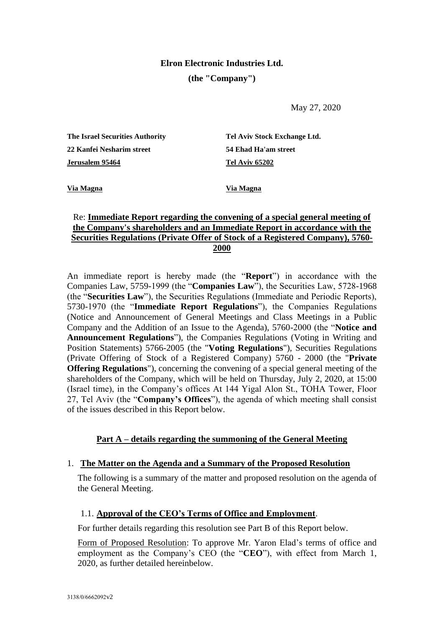# **Elron Electronic Industries Ltd.**

### **(the "Company")**

May 27, 2020

| The Israel Securities Authority  | Tel Aviv Stock Exchange Ltd. |
|----------------------------------|------------------------------|
| <b>22 Kanfei Nesharim street</b> | 54 Ehad Ha'am street         |
| Jerusalem 95464                  | <b>Tel Aviv 65202</b>        |

**Via Magna Via Magna**

# Re: **Immediate Report regarding the convening of a special general meeting of the Company's shareholders and an Immediate Report in accordance with the Securities Regulations (Private Offer of Stock of a Registered Company), 5760- 2000**

An immediate report is hereby made (the "**Report**") in accordance with the Companies Law, 5759-1999 (the "**Companies Law**"), the Securities Law, 5728-1968 (the "**Securities Law**"), the Securities Regulations (Immediate and Periodic Reports), 5730-1970 (the "**Immediate Report Regulations**"), the Companies Regulations (Notice and Announcement of General Meetings and Class Meetings in a Public Company and the Addition of an Issue to the Agenda), 5760-2000 (the "**Notice and Announcement Regulations**"), the Companies Regulations (Voting in Writing and Position Statements) 5766-2005 (the "**Voting Regulations**"), Securities Regulations (Private Offering of Stock of a Registered Company) 5760 - 2000 (the "**Private Offering Regulations**"), concerning the convening of a special general meeting of the shareholders of the Company, which will be held on Thursday, July 2, 2020, at 15:00 (Israel time), in the Company's offices At 144 Yigal Alon St., TOHA Tower, Floor 27, Tel Aviv (the "**Company's Offices**"), the agenda of which meeting shall consist of the issues described in this Report below.

# **Part A – details regarding the summoning of the General Meeting**

# 1. **The Matter on the Agenda and a Summary of the Proposed Resolution**

The following is a summary of the matter and proposed resolution on the agenda of the General Meeting.

# 1.1. **Approval of the CEO's Terms of Office and Employment**.

For further details regarding this resolution see Part B of this Report below.

Form of Proposed Resolution: To approve Mr. Yaron Elad's terms of office and employment as the Company's CEO (the "**CEO**"), with effect from March 1, 2020, as further detailed hereinbelow.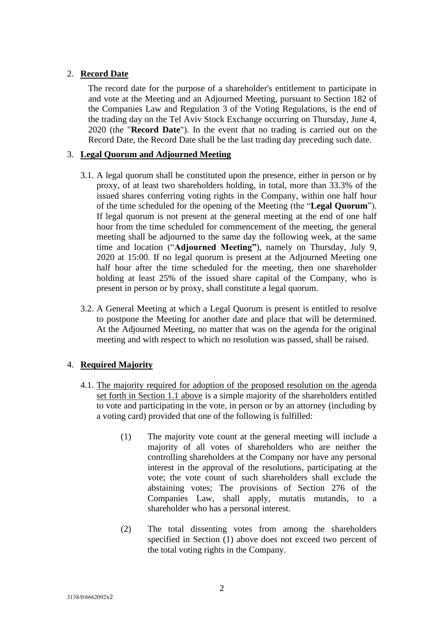# 2. **Record Date**

The record date for the purpose of a shareholder's entitlement to participate in and vote at the Meeting and an Adjourned Meeting, pursuant to Section 182 of the Companies Law and Regulation 3 of the Voting Regulations, is the end of the trading day on the Tel Aviv Stock Exchange occurring on Thursday, June 4, 2020 (the "**Record Date**"). In the event that no trading is carried out on the Record Date, the Record Date shall be the last trading day preceding such date.

# 3. **Legal Quorum and Adjourned Meeting**

- 3.1. A legal quorum shall be constituted upon the presence, either in person or by proxy, of at least two shareholders holding, in total, more than 33.3% of the issued shares conferring voting rights in the Company, within one half hour of the time scheduled for the opening of the Meeting (the "**Legal Quorum**"). If legal quorum is not present at the general meeting at the end of one half hour from the time scheduled for commencement of the meeting, the general meeting shall be adjourned to the same day the following week, at the same time and location ("**Adjourned Meeting"**), namely on Thursday, July 9, 2020 at 15:00. If no legal quorum is present at the Adjourned Meeting one half hour after the time scheduled for the meeting, then one shareholder holding at least 25% of the issued share capital of the Company, who is present in person or by proxy, shall constitute a legal quorum.
- 3.2. A General Meeting at which a Legal Quorum is present is entitled to resolve to postpone the Meeting for another date and place that will be determined. At the Adjourned Meeting, no matter that was on the agenda for the original meeting and with respect to which no resolution was passed, shall be raised.

# 4. **Required Majority**

- 4.1. The majority required for adoption of the proposed resolution on the agenda set forth in Section 1.1 above is a simple majority of the shareholders entitled to vote and participating in the vote, in person or by an attorney (including by a voting card) provided that one of the following is fulfilled:
	- (1) The majority vote count at the general meeting will include a majority of all votes of shareholders who are neither the controlling shareholders at the Company nor have any personal interest in the approval of the resolutions, participating at the vote; the vote count of such shareholders shall exclude the abstaining votes; The provisions of Section 276 of the Companies Law, shall apply, mutatis mutandis, to a shareholder who has a personal interest.
	- (2) The total dissenting votes from among the shareholders specified in Section (1) above does not exceed two percent of the total voting rights in the Company.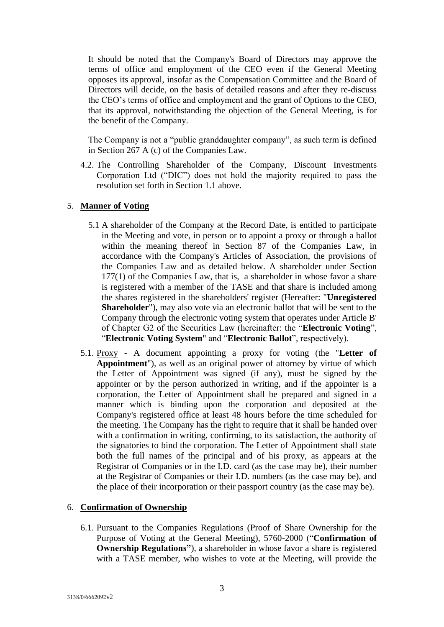It should be noted that the Company's Board of Directors may approve the terms of office and employment of the CEO even if the General Meeting opposes its approval, insofar as the Compensation Committee and the Board of Directors will decide, on the basis of detailed reasons and after they re-discuss the CEO's terms of office and employment and the grant of Options to the CEO, that its approval, notwithstanding the objection of the General Meeting, is for the benefit of the Company.

The Company is not a "public granddaughter company", as such term is defined in Section 267 A (c) of the Companies Law.

4.2. The Controlling Shareholder of the Company, Discount Investments Corporation Ltd ("DIC") does not hold the majority required to pass the resolution set forth in Section 1.1 above.

### 5. **Manner of Voting**

- 5.1 A shareholder of the Company at the Record Date, is entitled to participate in the Meeting and vote, in person or to appoint a proxy or through a ballot within the meaning thereof in Section 87 of the Companies Law, in accordance with the Company's Articles of Association, the provisions of the Companies Law and as detailed below. A shareholder under Section 177(1) of the Companies Law, that is, a shareholder in whose favor a share is registered with a member of the TASE and that share is included among the shares registered in the shareholders' register (Hereafter: "**Unregistered Shareholder**"), may also vote via an electronic ballot that will be sent to the Company through the electronic voting system that operates under Article B' of Chapter G2 of the Securities Law (hereinafter: the "**Electronic Voting**", "**Electronic Voting System**" and "**Electronic Ballot**", respectively).
- 5.1. Proxy A document appointing a proxy for voting (the "**Letter of Appointment**"), as well as an original power of attorney by virtue of which the Letter of Appointment was signed (if any), must be signed by the appointer or by the person authorized in writing, and if the appointer is a corporation, the Letter of Appointment shall be prepared and signed in a manner which is binding upon the corporation and deposited at the Company's registered office at least 48 hours before the time scheduled for the meeting. The Company has the right to require that it shall be handed over with a confirmation in writing, confirming, to its satisfaction, the authority of the signatories to bind the corporation. The Letter of Appointment shall state both the full names of the principal and of his proxy, as appears at the Registrar of Companies or in the I.D. card (as the case may be), their number at the Registrar of Companies or their I.D. numbers (as the case may be), and the place of their incorporation or their passport country (as the case may be).

### 6. **Confirmation of Ownership**

6.1. Pursuant to the Companies Regulations (Proof of Share Ownership for the Purpose of Voting at the General Meeting), 5760-2000 ("**Confirmation of Ownership Regulations"**), a shareholder in whose favor a share is registered with a TASE member, who wishes to vote at the Meeting, will provide the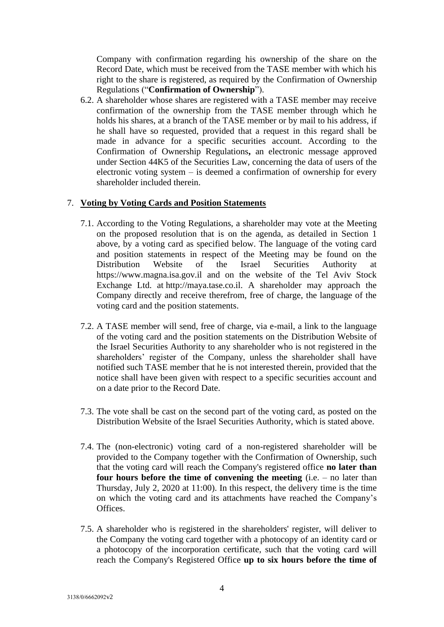Company with confirmation regarding his ownership of the share on the Record Date, which must be received from the TASE member with which his right to the share is registered, as required by the Confirmation of Ownership Regulations ("**Confirmation of Ownership**").

6.2. A shareholder whose shares are registered with a TASE member may receive confirmation of the ownership from the TASE member through which he holds his shares, at a branch of the TASE member or by mail to his address, if he shall have so requested, provided that a request in this regard shall be made in advance for a specific securities account. According to the Confirmation of Ownership Regulations**,** an electronic message approved under Section 44K5 of the Securities Law, concerning the data of users of the electronic voting system – is deemed a confirmation of ownership for every shareholder included therein.

### 7. **Voting by Voting Cards and Position Statements**

- 7.1. According to the Voting Regulations, a shareholder may vote at the Meeting on the proposed resolution that is on the agenda, as detailed in Section 1 above, by a voting card as specified below. The language of the voting card and position statements in respect of the Meeting may be found on the Distribution Website of the Israel Securities Authority at [https://www.magna.isa.gov.il](https://www.magna.isa.gov.il/) and on the website of the Tel Aviv Stock Exchange Ltd. at [http://maya.tase.co.il.](http://maya.tase.co.il/) A shareholder may approach the Company directly and receive therefrom, free of charge, the language of the voting card and the position statements.
- 7.2. A TASE member will send, free of charge, via e-mail, a link to the language of the voting card and the position statements on the Distribution Website of the Israel Securities Authority to any shareholder who is not registered in the shareholders' register of the Company, unless the shareholder shall have notified such TASE member that he is not interested therein, provided that the notice shall have been given with respect to a specific securities account and on a date prior to the Record Date.
- 7.3. The vote shall be cast on the second part of the voting card, as posted on the Distribution Website of the Israel Securities Authority, which is stated above.
- 7.4. The (non-electronic) voting card of a non-registered shareholder will be provided to the Company together with the Confirmation of Ownership, such that the voting card will reach the Company's registered office **no later than four hours before the time of convening the meeting** (i.e. – no later than Thursday, July 2, 2020 at 11:00). In this respect, the delivery time is the time on which the voting card and its attachments have reached the Company's Offices.
- 7.5. A shareholder who is registered in the shareholders' register, will deliver to the Company the voting card together with a photocopy of an identity card or a photocopy of the incorporation certificate, such that the voting card will reach the Company's Registered Office **up to six hours before the time of**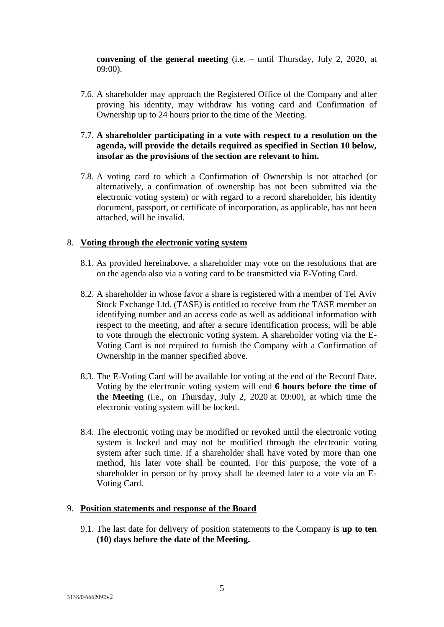**convening of the general meeting** (i.e. – until Thursday, July 2, 2020, at 09:00).

- 7.6. A shareholder may approach the Registered Office of the Company and after proving his identity, may withdraw his voting card and Confirmation of Ownership up to 24 hours prior to the time of the Meeting.
- 7.7. **A shareholder participating in a vote with respect to a resolution on the agenda, will provide the details required as specified in Section 10 below, insofar as the provisions of the section are relevant to him.**
- 7.8. A voting card to which a Confirmation of Ownership is not attached (or alternatively, a confirmation of ownership has not been submitted via the electronic voting system) or with regard to a record shareholder, his identity document, passport, or certificate of incorporation, as applicable, has not been attached, will be invalid.

## 8. **Voting through the electronic voting system**

- 8.1. As provided hereinabove, a shareholder may vote on the resolutions that are on the agenda also via a voting card to be transmitted via E-Voting Card.
- 8.2. A shareholder in whose favor a share is registered with a member of Tel Aviv Stock Exchange Ltd. (TASE) is entitled to receive from the TASE member an identifying number and an access code as well as additional information with respect to the meeting, and after a secure identification process, will be able to vote through the electronic voting system. A shareholder voting via the E-Voting Card is not required to furnish the Company with a Confirmation of Ownership in the manner specified above.
- 8.3. The E-Voting Card will be available for voting at the end of the Record Date. Voting by the electronic voting system will end **6 hours before the time of the Meeting** (i.e., on Thursday, July 2, 2020 at 09:00), at which time the electronic voting system will be locked.
- 8.4. The electronic voting may be modified or revoked until the electronic voting system is locked and may not be modified through the electronic voting system after such time. If a shareholder shall have voted by more than one method, his later vote shall be counted. For this purpose, the vote of a shareholder in person or by proxy shall be deemed later to a vote via an E-Voting Card.

## 9. **Position statements and response of the Board**

9.1. The last date for delivery of position statements to the Company is **up to ten (10) days before the date of the Meeting.**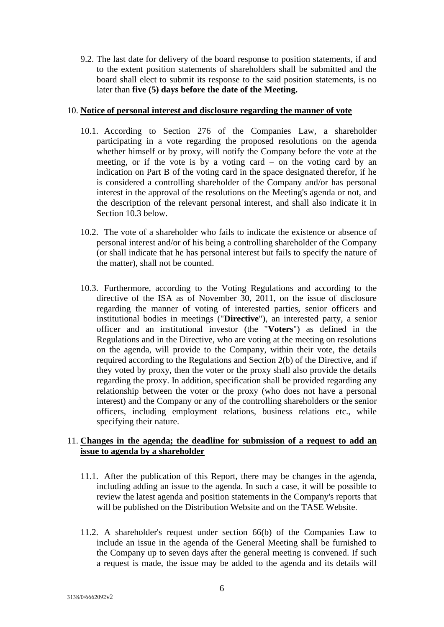9.2. The last date for delivery of the board response to position statements, if and to the extent position statements of shareholders shall be submitted and the board shall elect to submit its response to the said position statements, is no later than **five (5) days before the date of the Meeting.**

### 10. **Notice of personal interest and disclosure regarding the manner of vote**

- 10.1. According to Section 276 of the Companies Law, a shareholder participating in a vote regarding the proposed resolutions on the agenda whether himself or by proxy, will notify the Company before the vote at the meeting, or if the vote is by a voting card – on the voting card by an indication on Part B of the voting card in the space designated therefor, if he is considered a controlling shareholder of the Company and/or has personal interest in the approval of the resolutions on the Meeting's agenda or not, and the description of the relevant personal interest, and shall also indicate it in Section 10.3 below.
- 10.2. The vote of a shareholder who fails to indicate the existence or absence of personal interest and/or of his being a controlling shareholder of the Company (or shall indicate that he has personal interest but fails to specify the nature of the matter), shall not be counted.
- 10.3. Furthermore, according to the Voting Regulations and according to the directive of the ISA as of November 30, 2011, on the issue of disclosure regarding the manner of voting of interested parties, senior officers and institutional bodies in meetings ("**Directive**"), an interested party, a senior officer and an institutional investor (the "**Voters**") as defined in the Regulations and in the Directive, who are voting at the meeting on resolutions on the agenda, will provide to the Company, within their vote, the details required according to the Regulations and Section 2(b) of the Directive, and if they voted by proxy, then the voter or the proxy shall also provide the details regarding the proxy. In addition, specification shall be provided regarding any relationship between the voter or the proxy (who does not have a personal interest) and the Company or any of the controlling shareholders or the senior officers, including employment relations, business relations etc., while specifying their nature.

## 11. **Changes in the agenda; the deadline for submission of a request to add an issue to agenda by a shareholder**

- 11.1. After the publication of this Report, there may be changes in the agenda, including adding an issue to the agenda. In such a case, it will be possible to review the latest agenda and position statements in the Company's reports that will be published on the Distribution Website and on the TASE Website.
- 11.2. A shareholder's request under section 66(b) of the Companies Law to include an issue in the agenda of the General Meeting shall be furnished to the Company up to seven days after the general meeting is convened. If such a request is made, the issue may be added to the agenda and its details will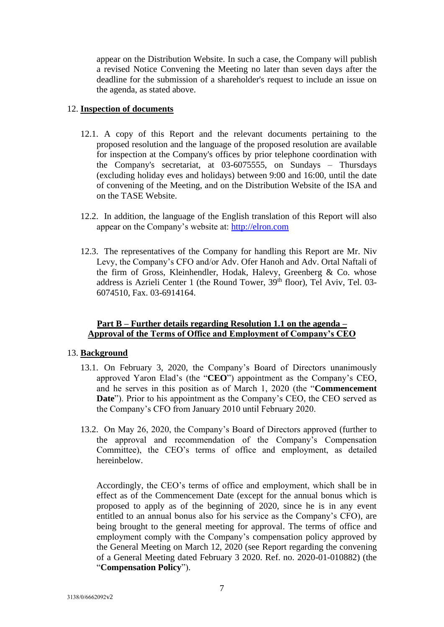appear on the Distribution Website. In such a case, the Company will publish a revised Notice Convening the Meeting no later than seven days after the deadline for the submission of a shareholder's request to include an issue on the agenda, as stated above.

### 12. **Inspection of documents**

- 12.1. A copy of this Report and the relevant documents pertaining to the proposed resolution and the language of the proposed resolution are available for inspection at the Company's offices by prior telephone coordination with the Company's secretariat, at 03-6075555, on Sundays – Thursdays (excluding holiday eves and holidays) between 9:00 and 16:00, until the date of convening of the Meeting, and on the Distribution Website of the ISA and on the TASE Website.
- 12.2. In addition, the language of the English translation of this Report will also appear on the Company's website at: [http://elron.com](http://elron.com/)
- 12.3. The representatives of the Company for handling this Report are Mr. Niv Levy, the Company's CFO and/or Adv. Ofer Hanoh and Adv. Ortal Naftali of the firm of Gross, Kleinhendler, Hodak, Halevy, Greenberg & Co. whose address is Azrieli Center 1 (the Round Tower, 39<sup>th</sup> floor), Tel Aviv, Tel. 03-6074510, Fax. 03-6914164.

## **Part B – Further details regarding Resolution 1.1 on the agenda – Approval of the Terms of Office and Employment of Company's CEO**

### 13. **Background**

- 13.1. On February 3, 2020, the Company's Board of Directors unanimously approved Yaron Elad's (the "**CEO**") appointment as the Company's CEO, and he serves in this position as of March 1, 2020 (the "**Commencement Date**"). Prior to his appointment as the Company's CEO, the CEO served as the Company's CFO from January 2010 until February 2020.
- 13.2. On May 26, 2020, the Company's Board of Directors approved (further to the approval and recommendation of the Company's Compensation Committee), the CEO's terms of office and employment, as detailed hereinbelow.

Accordingly, the CEO's terms of office and employment, which shall be in effect as of the Commencement Date (except for the annual bonus which is proposed to apply as of the beginning of 2020, since he is in any event entitled to an annual bonus also for his service as the Company's CFO), are being brought to the general meeting for approval. The terms of office and employment comply with the Company's compensation policy approved by the General Meeting on March 12, 2020 (see Report regarding the convening of a General Meeting dated February 3 2020. Ref. no. 2020-01-010882) (the "**Compensation Policy**").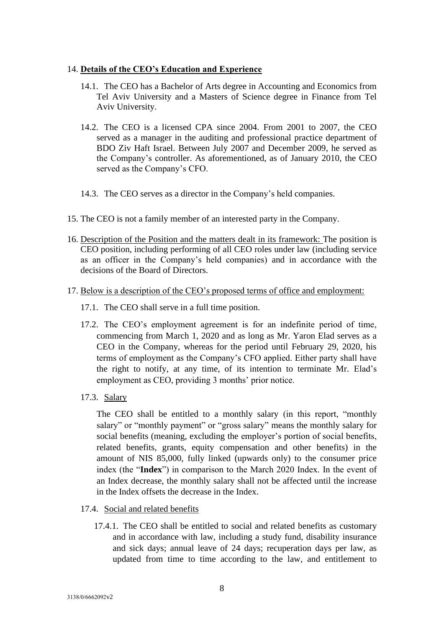### 14. **Details of the CEO's Education and Experience**

- 14.1. The CEO has a Bachelor of Arts degree in Accounting and Economics from Tel Aviv University and a Masters of Science degree in Finance from Tel Aviv University.
- 14.2. The CEO is a licensed CPA since 2004. From 2001 to 2007, the CEO served as a manager in the auditing and professional practice department of BDO Ziv Haft Israel. Between July 2007 and December 2009, he served as the Company's controller. As aforementioned, as of January 2010, the CEO served as the Company's CFO.
- 14.3. The CEO serves as a director in the Company's held companies.
- 15. The CEO is not a family member of an interested party in the Company.
- 16. Description of the Position and the matters dealt in its framework: The position is CEO position, including performing of all CEO roles under law (including service as an officer in the Company's held companies) and in accordance with the decisions of the Board of Directors.
- 17. Below is a description of the CEO's proposed terms of office and employment:
	- 17.1. The CEO shall serve in a full time position.
	- 17.2. The CEO's employment agreement is for an indefinite period of time, commencing from March 1, 2020 and as long as Mr. Yaron Elad serves as a CEO in the Company, whereas for the period until February 29, 2020, his terms of employment as the Company's CFO applied. Either party shall have the right to notify, at any time, of its intention to terminate Mr. Elad's employment as CEO, providing 3 months' prior notice.
	- 17.3. Salary

The CEO shall be entitled to a monthly salary (in this report, "monthly salary" or "monthly payment" or "gross salary" means the monthly salary for social benefits (meaning, excluding the employer's portion of social benefits, related benefits, grants, equity compensation and other benefits) in the amount of NIS 85,000, fully linked (upwards only) to the consumer price index (the "**Index**") in comparison to the March 2020 Index. In the event of an Index decrease, the monthly salary shall not be affected until the increase in the Index offsets the decrease in the Index.

- 17.4. Social and related benefits
	- 17.4.1. The CEO shall be entitled to social and related benefits as customary and in accordance with law, including a study fund, disability insurance and sick days; annual leave of 24 days; recuperation days per law, as updated from time to time according to the law, and entitlement to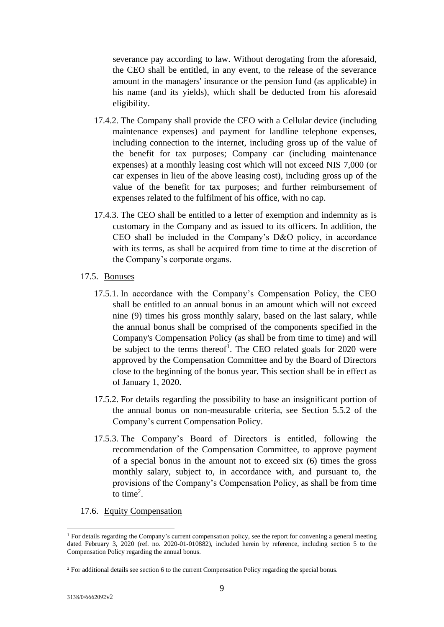severance pay according to law. Without derogating from the aforesaid, the CEO shall be entitled, in any event, to the release of the severance amount in the managers' insurance or the pension fund (as applicable) in his name (and its yields), which shall be deducted from his aforesaid eligibility.

- 17.4.2. The Company shall provide the CEO with a Cellular device (including maintenance expenses) and payment for landline telephone expenses, including connection to the internet, including gross up of the value of the benefit for tax purposes; Company car (including maintenance expenses) at a monthly leasing cost which will not exceed NIS 7,000 (or car expenses in lieu of the above leasing cost), including gross up of the value of the benefit for tax purposes; and further reimbursement of expenses related to the fulfilment of his office, with no cap.
- 17.4.3. The CEO shall be entitled to a letter of exemption and indemnity as is customary in the Company and as issued to its officers. In addition, the CEO shall be included in the Company's D&O policy, in accordance with its terms, as shall be acquired from time to time at the discretion of the Company's corporate organs.
- 17.5. Bonuses
	- 17.5.1. In accordance with the Company's Compensation Policy, the CEO shall be entitled to an annual bonus in an amount which will not exceed nine (9) times his gross monthly salary, based on the last salary, while the annual bonus shall be comprised of the components specified in the Company's Compensation Policy (as shall be from time to time) and will be subject to the terms thereof<sup>1</sup>. The CEO related goals for 2020 were approved by the Compensation Committee and by the Board of Directors close to the beginning of the bonus year. This section shall be in effect as of January 1, 2020.
	- 17.5.2. For details regarding the possibility to base an insignificant portion of the annual bonus on non-measurable criteria, see Section 5.5.2 of the Company's current Compensation Policy.
	- 17.5.3. The Company's Board of Directors is entitled, following the recommendation of the Compensation Committee, to approve payment of a special bonus in the amount not to exceed six (6) times the gross monthly salary, subject to, in accordance with, and pursuant to, the provisions of the Company's Compensation Policy, as shall be from time to time<sup>2</sup>.
- 17.6. Equity Compensation

<sup>&</sup>lt;sup>1</sup> For details regarding the Company's current compensation policy, see the report for convening a general meeting dated February 3, 2020 (ref. no. 2020-01-010882), included herein by reference, including section 5 to the Compensation Policy regarding the annual bonus.

<sup>2</sup> For additional details see section 6 to the current Compensation Policy regarding the special bonus.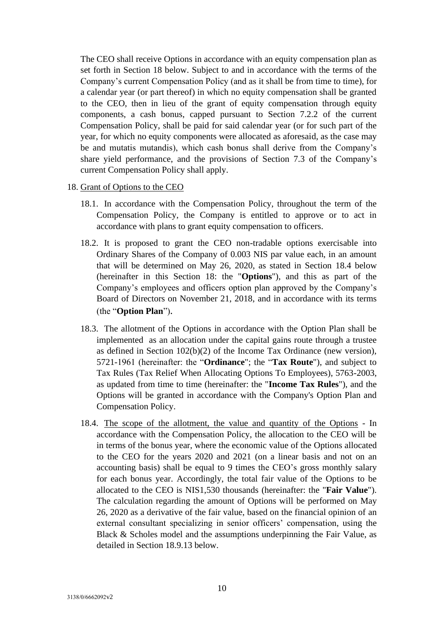The CEO shall receive Options in accordance with an equity compensation plan as set forth in Section 18 below. Subject to and in accordance with the terms of the Company's current Compensation Policy (and as it shall be from time to time), for a calendar year (or part thereof) in which no equity compensation shall be granted to the CEO, then in lieu of the grant of equity compensation through equity components, a cash bonus, capped pursuant to Section 7.2.2 of the current Compensation Policy, shall be paid for said calendar year (or for such part of the year, for which no equity components were allocated as aforesaid, as the case may be and mutatis mutandis), which cash bonus shall derive from the Company's share yield performance, and the provisions of Section 7.3 of the Company's current Compensation Policy shall apply.

- 18. Grant of Options to the CEO
	- 18.1. In accordance with the Compensation Policy, throughout the term of the Compensation Policy, the Company is entitled to approve or to act in accordance with plans to grant equity compensation to officers.
	- 18.2. It is proposed to grant the CEO non-tradable options exercisable into Ordinary Shares of the Company of 0.003 NIS par value each, in an amount that will be determined on May 26, 2020, as stated in Section 18.4 below (hereinafter in this Section 18: the "**Options**"), and this as part of the Company's employees and officers option plan approved by the Company's Board of Directors on November 21, 2018, and in accordance with its terms (the "**Option Plan**").
	- 18.3. The allotment of the Options in accordance with the Option Plan shall be implemented as an allocation under the capital gains route through a trustee as defined in Section 102(b)(2) of the Income Tax Ordinance (new version), 5721-1961 (hereinafter: the "**Ordinance**"; the "**Tax Route**"), and subject to Tax Rules (Tax Relief When Allocating Options To Employees), 5763-2003, as updated from time to time (hereinafter: the "**Income Tax Rules**"), and the Options will be granted in accordance with the Company's Option Plan and Compensation Policy.
	- 18.4. The scope of the allotment, the value and quantity of the Options In accordance with the Compensation Policy, the allocation to the CEO will be in terms of the bonus year, where the economic value of the Options allocated to the CEO for the years 2020 and 2021 (on a linear basis and not on an accounting basis) shall be equal to 9 times the CEO's gross monthly salary for each bonus year. Accordingly, the total fair value of the Options to be allocated to the CEO is NIS1,530 thousands (hereinafter: the "**Fair Value**"). The calculation regarding the amount of Options will be performed on May 26, 2020 as a derivative of the fair value, based on the financial opinion of an external consultant specializing in senior officers' compensation, using the Black & Scholes model and the assumptions underpinning the Fair Value, as detailed in Section 18.9.13 below.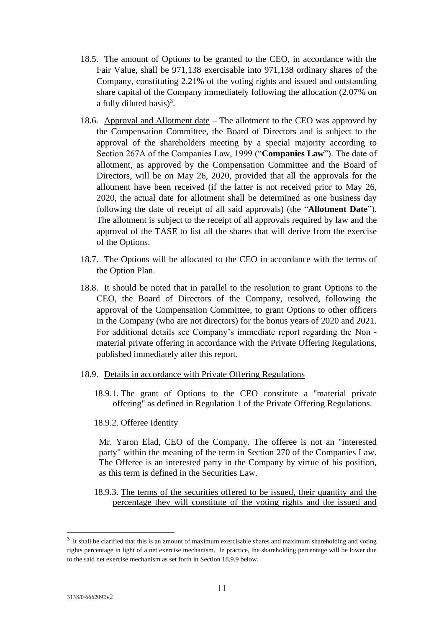- 18.5. The amount of Options to be granted to the CEO, in accordance with the Fair Value, shall be 971,138 exercisable into 971,138 ordinary shares of the Company, constituting 2.21% of the voting rights and issued and outstanding share capital of the Company immediately following the allocation (2.07% on a fully diluted basis) $^3$ .
- 18.6. Approval and Allotment date The allotment to the CEO was approved by the Compensation Committee, the Board of Directors and is subject to the approval of the shareholders meeting by a special majority according to Section 267A of the Companies Law, 1999 ("**Companies Law**"). The date of allotment, as approved by the Compensation Committee and the Board of Directors, will be on May 26, 2020, provided that all the approvals for the allotment have been received (if the latter is not received prior to May 26, 2020, the actual date for allotment shall be determined as one business day following the date of receipt of all said approvals) (the "**Allotment Date**"). The allotment is subject to the receipt of all approvals required by law and the approval of the TASE to list all the shares that will derive from the exercise of the Options.
- 18.7. The Options will be allocated to the CEO in accordance with the terms of the Option Plan.
- 18.8. It should be noted that in parallel to the resolution to grant Options to the CEO, the Board of Directors of the Company, resolved, following the approval of the Compensation Committee, to grant Options to other officers in the Company (who are not directors) for the bonus years of 2020 and 2021. For additional details see Company's immediate report regarding the Non material private offering in accordance with the Private Offering Regulations, published immediately after this report.
- 18.9. Details in accordance with Private Offering Regulations
	- 18.9.1. The grant of Options to the CEO constitute a "material private offering" as defined in Regulation 1 of the Private Offering Regulations.
	- 18.9.2. Offeree Identity

Mr. Yaron Elad, CEO of the Company. The offeree is not an "interested party" within the meaning of the term in Section 270 of the Companies Law. The Offeree is an interested party in the Company by virtue of his position, as this term is defined in the Securities Law.

18.9.3. The terms of the securities offered to be issued, their quantity and the percentage they will constitute of the voting rights and the issued and

 $3\,$  It shall be clarified that this is an amount of maximum exercisable shares and maximum shareholding and voting rights percentage in light of a net exercise mechanism. In practice, the shareholding percentage will be lower due to the said net exercise mechanism as set forth in Section 18.9.9 below.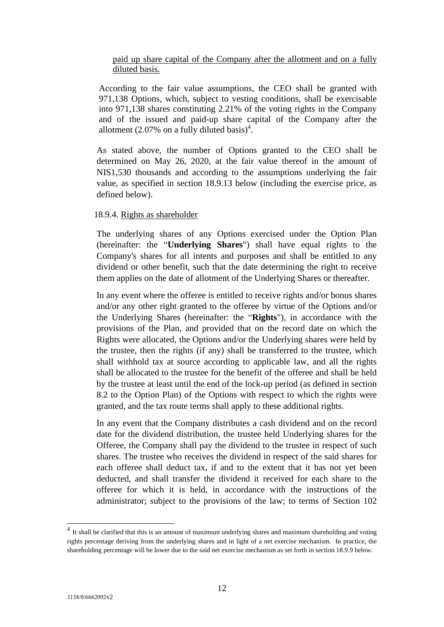# paid up share capital of the Company after the allotment and on a fully diluted basis.

According to the fair value assumptions, the CEO shall be granted with 971,138 Options, which, subject to vesting conditions, shall be exercisable into 971,138 shares constituting 2.21% of the voting rights in the Company and of the issued and paid-up share capital of the Company after the allotment (2.07% on a fully diluted basis)<sup>4</sup>.

As stated above, the number of Options granted to the CEO shall be determined on May 26, 2020, at the fair value thereof in the amount of NIS1,530 thousands and according to the assumptions underlying the fair value, as specified in section 18.9.13 below (including the exercise price, as defined below).

### 18.9.4. Rights as shareholder

The underlying shares of any Options exercised under the Option Plan (hereinafter: the "**Underlying Shares**") shall have equal rights to the Company's shares for all intents and purposes and shall be entitled to any dividend or other benefit, such that the date determining the right to receive them applies on the date of allotment of the Underlying Shares or thereafter.

In any event where the offeree is entitled to receive rights and/or bonus shares and/or any other right granted to the offeree by virtue of the Options and/or the Underlying Shares (hereinafter: the "**Rights**"), in accordance with the provisions of the Plan, and provided that on the record date on which the Rights were allocated, the Options and/or the Underlying shares were held by the trustee, then the rights (if any) shall be transferred to the trustee, which shall withhold tax at source according to applicable law, and all the rights shall be allocated to the trustee for the benefit of the offeree and shall be held by the trustee at least until the end of the lock-up period (as defined in section 8.2 to the Option Plan) of the Options with respect to which the rights were granted, and the tax route terms shall apply to these additional rights.

In any event that the Company distributes a cash dividend and on the record date for the dividend distribution, the trustee held Underlying shares for the Offeree, the Company shall pay the dividend to the trustee in respect of such shares. The trustee who receives the dividend in respect of the said shares for each offeree shall deduct tax, if and to the extent that it has not yet been deducted, and shall transfer the dividend it received for each share to the offeree for which it is held, in accordance with the instructions of the administrator; subject to the provisions of the law; to terms of Section 102

<sup>&</sup>lt;sup>4</sup> It shall be clarified that this is an amount of maximum underlying shares and maximum shareholding and voting rights percentage deriving from the underlying shares and in light of a net exercise mechanism. In practice, the shareholding percentage will be lower due to the said net exercise mechanism as set forth in section 18.9.9 below.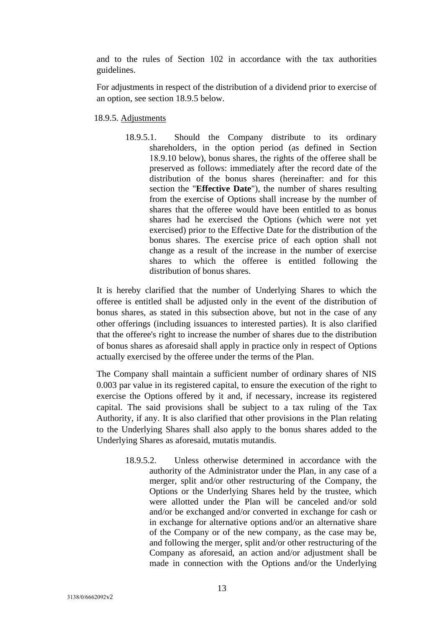and to the rules of Section 102 in accordance with the tax authorities guidelines.

For adjustments in respect of the distribution of a dividend prior to exercise of an option, see section 18.9.5 below.

18.9.5. Adjustments

18.9.5.1. Should the Company distribute to its ordinary shareholders, in the option period (as defined in Section 18.9.10 below), bonus shares, the rights of the offeree shall be preserved as follows: immediately after the record date of the distribution of the bonus shares (hereinafter: and for this section the "**Effective Date**"), the number of shares resulting from the exercise of Options shall increase by the number of shares that the offeree would have been entitled to as bonus shares had he exercised the Options (which were not yet exercised) prior to the Effective Date for the distribution of the bonus shares. The exercise price of each option shall not change as a result of the increase in the number of exercise shares to which the offeree is entitled following the distribution of bonus shares.

It is hereby clarified that the number of Underlying Shares to which the offeree is entitled shall be adjusted only in the event of the distribution of bonus shares, as stated in this subsection above, but not in the case of any other offerings (including issuances to interested parties). It is also clarified that the offeree's right to increase the number of shares due to the distribution of bonus shares as aforesaid shall apply in practice only in respect of Options actually exercised by the offeree under the terms of the Plan.

The Company shall maintain a sufficient number of ordinary shares of NIS 0.003 par value in its registered capital, to ensure the execution of the right to exercise the Options offered by it and, if necessary, increase its registered capital. The said provisions shall be subject to a tax ruling of the Tax Authority, if any. It is also clarified that other provisions in the Plan relating to the Underlying Shares shall also apply to the bonus shares added to the Underlying Shares as aforesaid, mutatis mutandis.

> 18.9.5.2. Unless otherwise determined in accordance with the authority of the Administrator under the Plan, in any case of a merger, split and/or other restructuring of the Company, the Options or the Underlying Shares held by the trustee, which were allotted under the Plan will be canceled and/or sold and/or be exchanged and/or converted in exchange for cash or in exchange for alternative options and/or an alternative share of the Company or of the new company, as the case may be, and following the merger, split and/or other restructuring of the Company as aforesaid, an action and/or adjustment shall be made in connection with the Options and/or the Underlying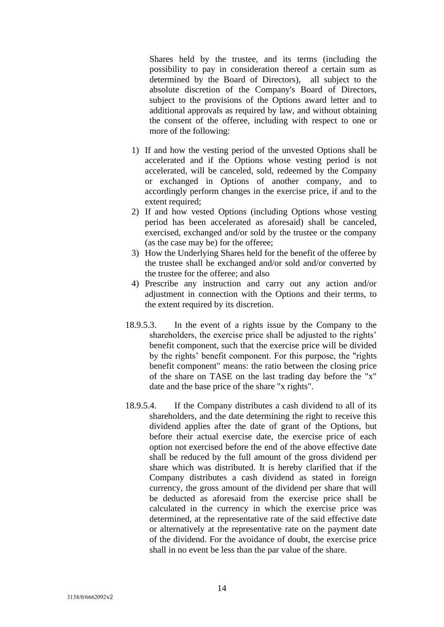Shares held by the trustee, and its terms (including the possibility to pay in consideration thereof a certain sum as determined by the Board of Directors), all subject to the absolute discretion of the Company's Board of Directors, subject to the provisions of the Options award letter and to additional approvals as required by law, and without obtaining the consent of the offeree, including with respect to one or more of the following:

- 1) If and how the vesting period of the unvested Options shall be accelerated and if the Options whose vesting period is not accelerated, will be canceled, sold, redeemed by the Company or exchanged in Options of another company, and to accordingly perform changes in the exercise price, if and to the extent required;
- 2) If and how vested Options (including Options whose vesting period has been accelerated as aforesaid) shall be canceled, exercised, exchanged and/or sold by the trustee or the company (as the case may be) for the offeree;
- 3) How the Underlying Shares held for the benefit of the offeree by the trustee shall be exchanged and/or sold and/or converted by the trustee for the offeree; and also
- 4) Prescribe any instruction and carry out any action and/or adjustment in connection with the Options and their terms, to the extent required by its discretion.
- 18.9.5.3. In the event of a rights issue by the Company to the shareholders, the exercise price shall be adjusted to the rights' benefit component, such that the exercise price will be divided by the rights' benefit component. For this purpose, the "rights benefit component" means: the ratio between the closing price of the share on TASE on the last trading day before the "x" date and the base price of the share "x rights".
- 18.9.5.4. If the Company distributes a cash dividend to all of its shareholders, and the date determining the right to receive this dividend applies after the date of grant of the Options, but before their actual exercise date, the exercise price of each option not exercised before the end of the above effective date shall be reduced by the full amount of the gross dividend per share which was distributed. It is hereby clarified that if the Company distributes a cash dividend as stated in foreign currency, the gross amount of the dividend per share that will be deducted as aforesaid from the exercise price shall be calculated in the currency in which the exercise price was determined, at the representative rate of the said effective date or alternatively at the representative rate on the payment date of the dividend. For the avoidance of doubt, the exercise price shall in no event be less than the par value of the share.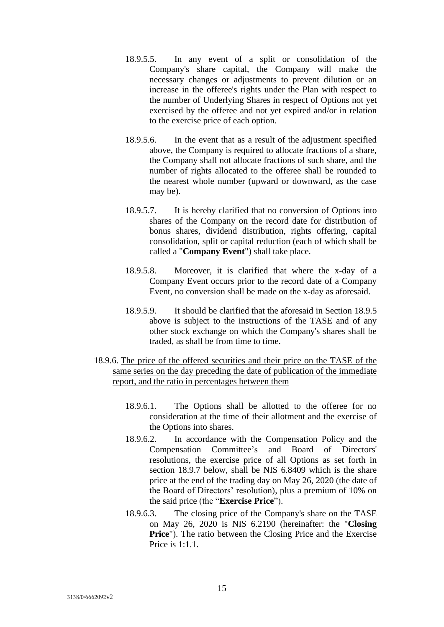- 18.9.5.5. In any event of a split or consolidation of the Company's share capital, the Company will make the necessary changes or adjustments to prevent dilution or an increase in the offeree's rights under the Plan with respect to the number of Underlying Shares in respect of Options not yet exercised by the offeree and not yet expired and/or in relation to the exercise price of each option.
- 18.9.5.6. In the event that as a result of the adjustment specified above, the Company is required to allocate fractions of a share, the Company shall not allocate fractions of such share, and the number of rights allocated to the offeree shall be rounded to the nearest whole number (upward or downward, as the case may be).
- 18.9.5.7. It is hereby clarified that no conversion of Options into shares of the Company on the record date for distribution of bonus shares, dividend distribution, rights offering, capital consolidation, split or capital reduction (each of which shall be called a "**Company Event**") shall take place.
- 18.9.5.8. Moreover, it is clarified that where the x-day of a Company Event occurs prior to the record date of a Company Event, no conversion shall be made on the x-day as aforesaid.
- 18.9.5.9. It should be clarified that the aforesaid in Section 18.9.5 above is subject to the instructions of the TASE and of any other stock exchange on which the Company's shares shall be traded, as shall be from time to time.
- 18.9.6. The price of the offered securities and their price on the TASE of the same series on the day preceding the date of publication of the immediate report, and the ratio in percentages between them
	- 18.9.6.1. The Options shall be allotted to the offeree for no consideration at the time of their allotment and the exercise of the Options into shares.
	- 18.9.6.2. In accordance with the Compensation Policy and the Compensation Committee's and Board of Directors' resolutions, the exercise price of all Options as set forth in section 18.9.7 below, shall be NIS 6.8409 which is the share price at the end of the trading day on May 26, 2020 (the date of the Board of Directors' resolution), plus a premium of 10% on the said price (the "**Exercise Price**").
	- 18.9.6.3. The closing price of the Company's share on the TASE on May 26, 2020 is NIS 6.2190 (hereinafter: the "**Closing Price**"). The ratio between the Closing Price and the Exercise Price is 1:1.1.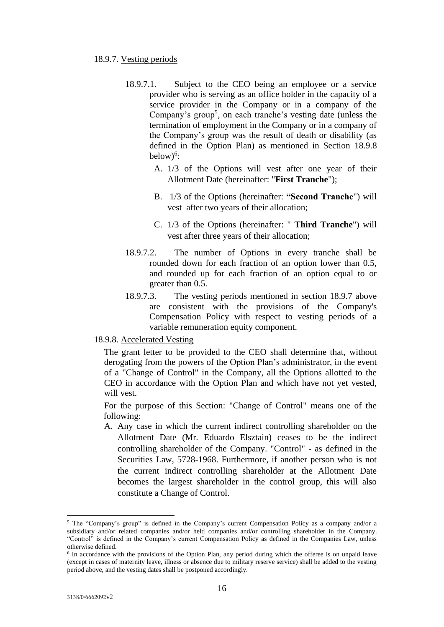### 18.9.7. Vesting periods

- 18.9.7.1. Subject to the CEO being an employee or a service provider who is serving as an office holder in the capacity of a service provider in the Company or in a company of the Company's group<sup>5</sup>, on each tranche's vesting date (unless the termination of employment in the Company or in a company of the Company's group was the result of death or disability (as defined in the Option Plan) as mentioned in Section 18.9.8  $below)^6$ :
	- A. 1/3 of the Options will vest after one year of their Allotment Date (hereinafter: "**First Tranche**");
	- B. 1/3 of the Options (hereinafter: **"Second Tranche**") will vest after two years of their allocation;
	- C. 1/3 of the Options (hereinafter: " **Third Tranche**") will vest after three years of their allocation;
- 18.9.7.2. The number of Options in every tranche shall be rounded down for each fraction of an option lower than 0.5, and rounded up for each fraction of an option equal to or greater than 0.5.
- 18.9.7.3. The vesting periods mentioned in section 18.9.7 above are consistent with the provisions of the Company's Compensation Policy with respect to vesting periods of a variable remuneration equity component.

18.9.8. Accelerated Vesting

The grant letter to be provided to the CEO shall determine that, without derogating from the powers of the Option Plan's administrator, in the event of a "Change of Control" in the Company, all the Options allotted to the CEO in accordance with the Option Plan and which have not yet vested, will vest.

For the purpose of this Section: "Change of Control" means one of the following:

A. Any case in which the current indirect controlling shareholder on the Allotment Date (Mr. Eduardo Elsztain) ceases to be the indirect controlling shareholder of the Company. "Control" - as defined in the Securities Law, 5728-1968. Furthermore, if another person who is not the current indirect controlling shareholder at the Allotment Date becomes the largest shareholder in the control group, this will also constitute a Change of Control.

<sup>5</sup> The "Company's group" is defined in the Company's current Compensation Policy as a company and/or a subsidiary and/or related companies and/or held companies and/or controlling shareholder in the Company. "Control" is defined in the Company's current Compensation Policy as defined in the Companies Law, unless otherwise defined.

<sup>&</sup>lt;sup>6</sup> In accordance with the provisions of the Option Plan, any period during which the offeree is on unpaid leave (except in cases of maternity leave, illness or absence due to military reserve service) shall be added to the vesting period above, and the vesting dates shall be postponed accordingly.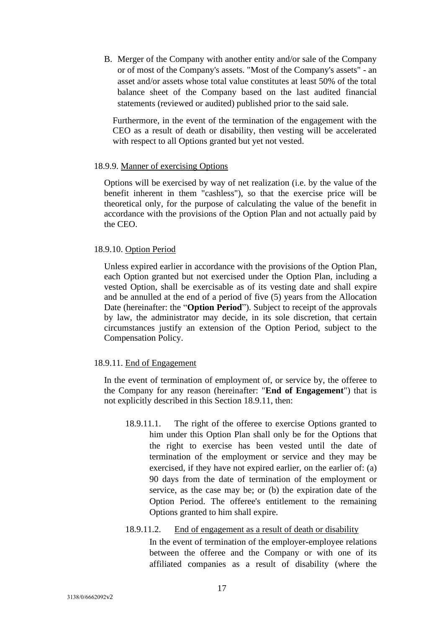B. Merger of the Company with another entity and/or sale of the Company or of most of the Company's assets. "Most of the Company's assets" - an asset and/or assets whose total value constitutes at least 50% of the total balance sheet of the Company based on the last audited financial statements (reviewed or audited) published prior to the said sale.

Furthermore, in the event of the termination of the engagement with the CEO as a result of death or disability, then vesting will be accelerated with respect to all Options granted but yet not vested.

#### 18.9.9. Manner of exercising Options

Options will be exercised by way of net realization (i.e. by the value of the benefit inherent in them "cashless"), so that the exercise price will be theoretical only, for the purpose of calculating the value of the benefit in accordance with the provisions of the Option Plan and not actually paid by the CEO.

#### 18.9.10. Option Period

Unless expired earlier in accordance with the provisions of the Option Plan, each Option granted but not exercised under the Option Plan, including a vested Option, shall be exercisable as of its vesting date and shall expire and be annulled at the end of a period of five (5) years from the Allocation Date (hereinafter: the "**Option Period**"). Subject to receipt of the approvals by law, the administrator may decide, in its sole discretion, that certain circumstances justify an extension of the Option Period, subject to the Compensation Policy.

### 18.9.11. End of Engagement

In the event of termination of employment of, or service by, the offeree to the Company for any reason (hereinafter: "**End of Engagement**") that is not explicitly described in this Section 18.9.11, then:

18.9.11.1. The right of the offeree to exercise Options granted to him under this Option Plan shall only be for the Options that the right to exercise has been vested until the date of termination of the employment or service and they may be exercised, if they have not expired earlier, on the earlier of: (a) 90 days from the date of termination of the employment or service, as the case may be; or (b) the expiration date of the Option Period. The offeree's entitlement to the remaining Options granted to him shall expire.

#### 18.9.11.2. End of engagement as a result of death or disability

In the event of termination of the employer-employee relations between the offeree and the Company or with one of its affiliated companies as a result of disability (where the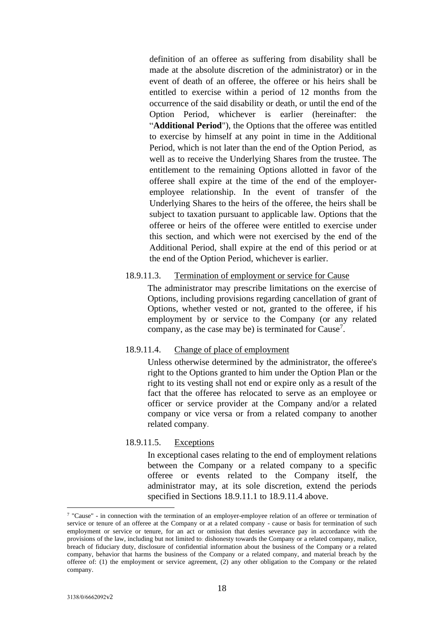definition of an offeree as suffering from disability shall be made at the absolute discretion of the administrator) or in the event of death of an offeree, the offeree or his heirs shall be entitled to exercise within a period of 12 months from the occurrence of the said disability or death, or until the end of the Option Period, whichever is earlier (hereinafter: the "**Additional Period**"), the Options that the offeree was entitled to exercise by himself at any point in time in the Additional Period, which is not later than the end of the Option Period, as well as to receive the Underlying Shares from the trustee. The entitlement to the remaining Options allotted in favor of the offeree shall expire at the time of the end of the employeremployee relationship. In the event of transfer of the Underlying Shares to the heirs of the offeree, the heirs shall be subject to taxation pursuant to applicable law. Options that the offeree or heirs of the offeree were entitled to exercise under this section, and which were not exercised by the end of the Additional Period, shall expire at the end of this period or at the end of the Option Period, whichever is earlier.

### 18.9.11.3. Termination of employment or service for Cause

The administrator may prescribe limitations on the exercise of Options, including provisions regarding cancellation of grant of Options, whether vested or not, granted to the offeree, if his employment by or service to the Company (or any related company, as the case may be) is terminated for Cause<sup>7</sup>.

# 18.9.11.4. Change of place of employment

Unless otherwise determined by the administrator, the offeree's right to the Options granted to him under the Option Plan or the right to its vesting shall not end or expire only as a result of the fact that the offeree has relocated to serve as an employee or officer or service provider at the Company and/or a related company or vice versa or from a related company to another related company.

# 18.9.11.5. Exceptions

In exceptional cases relating to the end of employment relations between the Company or a related company to a specific offeree or events related to the Company itself, the administrator may, at its sole discretion, extend the periods specified in Sections 18.9.11.1 to 18.9.11.4 above.

<sup>7</sup> "Cause" - in connection with the termination of an employer-employee relation of an offeree or termination of service or tenure of an offeree at the Company or at a related company - cause or basis for termination of such employment or service or tenure, for an act or omission that denies severance pay in accordance with the provisions of the law, including but not limited to: dishonesty towards the Company or a related company, malice, breach of fiduciary duty, disclosure of confidential information about the business of the Company or a related company, behavior that harms the business of the Company or a related company, and material breach by the offeree of: (1) the employment or service agreement, (2) any other obligation to the Company or the related company.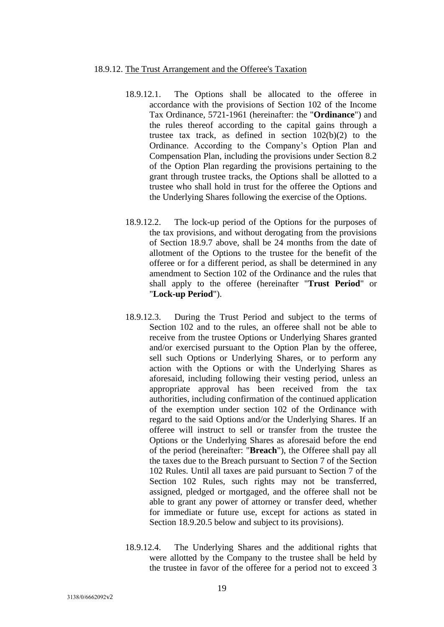#### 18.9.12. The Trust Arrangement and the Offeree's Taxation

- 18.9.12.1. The Options shall be allocated to the offeree in accordance with the provisions of Section 102 of the Income Tax Ordinance, 5721-1961 (hereinafter: the "**Ordinance**") and the rules thereof according to the capital gains through a trustee tax track, as defined in section 102(b)(2) to the Ordinance. According to the Company's Option Plan and Compensation Plan, including the provisions under Section 8.2 of the Option Plan regarding the provisions pertaining to the grant through trustee tracks, the Options shall be allotted to a trustee who shall hold in trust for the offeree the Options and the Underlying Shares following the exercise of the Options.
- 18.9.12.2. The lock-up period of the Options for the purposes of the tax provisions, and without derogating from the provisions of Section 18.9.7 above, shall be 24 months from the date of allotment of the Options to the trustee for the benefit of the offeree or for a different period, as shall be determined in any amendment to Section 102 of the Ordinance and the rules that shall apply to the offeree (hereinafter "**Trust Period**" or "**Lock-up Period**").
- 18.9.12.3. During the Trust Period and subject to the terms of Section 102 and to the rules, an offeree shall not be able to receive from the trustee Options or Underlying Shares granted and/or exercised pursuant to the Option Plan by the offeree, sell such Options or Underlying Shares, or to perform any action with the Options or with the Underlying Shares as aforesaid, including following their vesting period, unless an appropriate approval has been received from the tax authorities, including confirmation of the continued application of the exemption under section 102 of the Ordinance with regard to the said Options and/or the Underlying Shares. If an offeree will instruct to sell or transfer from the trustee the Options or the Underlying Shares as aforesaid before the end of the period (hereinafter: "**Breach**"), the Offeree shall pay all the taxes due to the Breach pursuant to Section 7 of the Section 102 Rules. Until all taxes are paid pursuant to Section 7 of the Section 102 Rules, such rights may not be transferred, assigned, pledged or mortgaged, and the offeree shall not be able to grant any power of attorney or transfer deed, whether for immediate or future use, except for actions as stated in Section 18.9.20.5 below and subject to its provisions).
- 18.9.12.4. The Underlying Shares and the additional rights that were allotted by the Company to the trustee shall be held by the trustee in favor of the offeree for a period not to exceed 3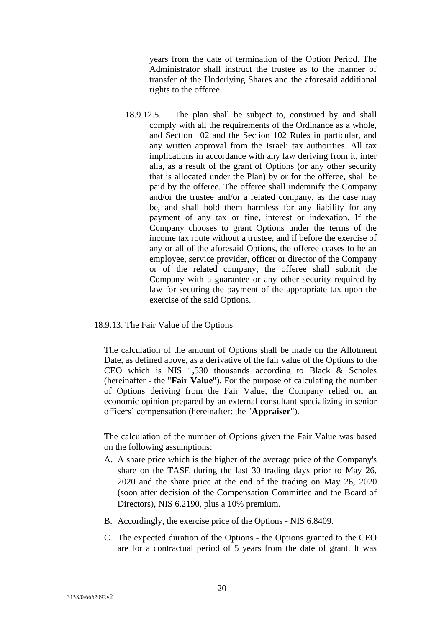years from the date of termination of the Option Period. The Administrator shall instruct the trustee as to the manner of transfer of the Underlying Shares and the aforesaid additional rights to the offeree.

18.9.12.5. The plan shall be subject to, construed by and shall comply with all the requirements of the Ordinance as a whole, and Section 102 and the Section 102 Rules in particular, and any written approval from the Israeli tax authorities. All tax implications in accordance with any law deriving from it, inter alia, as a result of the grant of Options (or any other security that is allocated under the Plan) by or for the offeree, shall be paid by the offeree. The offeree shall indemnify the Company and/or the trustee and/or a related company, as the case may be, and shall hold them harmless for any liability for any payment of any tax or fine, interest or indexation. If the Company chooses to grant Options under the terms of the income tax route without a trustee, and if before the exercise of any or all of the aforesaid Options, the offeree ceases to be an employee, service provider, officer or director of the Company or of the related company, the offeree shall submit the Company with a guarantee or any other security required by law for securing the payment of the appropriate tax upon the exercise of the said Options.

## 18.9.13. The Fair Value of the Options

The calculation of the amount of Options shall be made on the Allotment Date, as defined above, as a derivative of the fair value of the Options to the CEO which is NIS 1,530 thousands according to Black & Scholes (hereinafter - the "**Fair Value**"). For the purpose of calculating the number of Options deriving from the Fair Value, the Company relied on an economic opinion prepared by an external consultant specializing in senior officers' compensation (hereinafter: the "**Appraiser**").

The calculation of the number of Options given the Fair Value was based on the following assumptions:

- A. A share price which is the higher of the average price of the Company's share on the TASE during the last 30 trading days prior to May 26, 2020 and the share price at the end of the trading on May 26, 2020 (soon after decision of the Compensation Committee and the Board of Directors), NIS 6.2190, plus a 10% premium.
- B. Accordingly, the exercise price of the Options NIS 6.8409.
- C. The expected duration of the Options the Options granted to the CEO are for a contractual period of 5 years from the date of grant. It was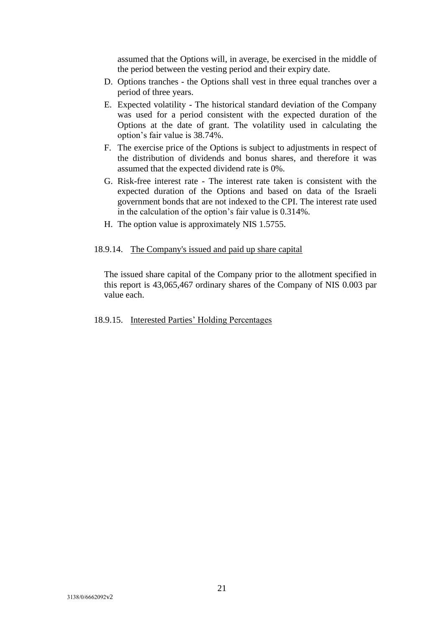assumed that the Options will, in average, be exercised in the middle of the period between the vesting period and their expiry date.

- D. Options tranches the Options shall vest in three equal tranches over a period of three years.
- E. Expected volatility The historical standard deviation of the Company was used for a period consistent with the expected duration of the Options at the date of grant. The volatility used in calculating the option's fair value is 38.74%.
- F. The exercise price of the Options is subject to adjustments in respect of the distribution of dividends and bonus shares, and therefore it was assumed that the expected dividend rate is 0%.
- G. Risk-free interest rate The interest rate taken is consistent with the expected duration of the Options and based on data of the Israeli government bonds that are not indexed to the CPI. The interest rate used in the calculation of the option's fair value is 0.314%.
- H. The option value is approximately NIS 1.5755.

## 18.9.14. The Company's issued and paid up share capital

The issued share capital of the Company prior to the allotment specified in this report is 43,065,467 ordinary shares of the Company of NIS 0.003 par value each.

#### 18.9.15. Interested Parties' Holding Percentages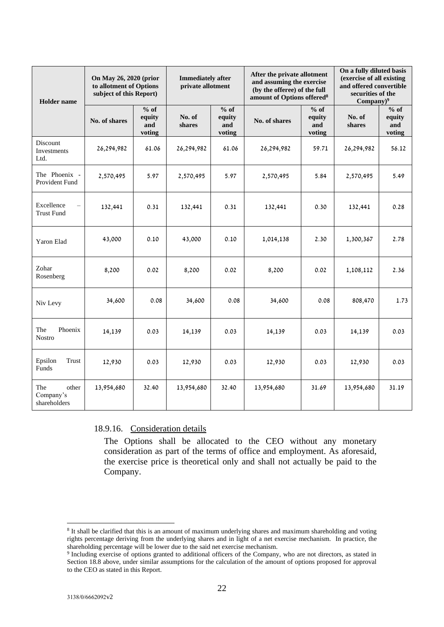| <b>Holder</b> name                        | On May 26, 2020 (prior<br>to allotment of Options<br>subject of this Report) |                                                        | <b>Immediately after</b><br>private allotment |                                 | After the private allotment<br>and assuming the exercise<br>(by the offeree) of the full<br>amount of Options offered <sup>8</sup> |                                   | On a fully diluted basis<br>(exercise of all existing<br>and offered convertible<br>securities of the<br>$Company)^9$ |                                 |
|-------------------------------------------|------------------------------------------------------------------------------|--------------------------------------------------------|-----------------------------------------------|---------------------------------|------------------------------------------------------------------------------------------------------------------------------------|-----------------------------------|-----------------------------------------------------------------------------------------------------------------------|---------------------------------|
|                                           | No. of shares                                                                | $\overline{\frac{9}{6}}$ of<br>equity<br>and<br>voting | No. of<br>shares                              | % of<br>equity<br>and<br>voting | No. of shares                                                                                                                      | $%$ of<br>equity<br>and<br>voting | No. of<br>shares                                                                                                      | % of<br>equity<br>and<br>voting |
| <b>Discount</b><br>Investments<br>Ltd.    | 26,294,982                                                                   | 61.06                                                  | 26,294,982                                    | 61.06                           | 26,294,982<br>59.71                                                                                                                |                                   | 26,294,982                                                                                                            | 56.12                           |
| The Phoenix -<br>Provident Fund           | 2,570,495                                                                    | 5.97                                                   | 2,570,495                                     | 5.97                            | 2,570,495<br>5.84                                                                                                                  |                                   | 2,570,495                                                                                                             | 5.49                            |
| Excellence<br><b>Trust Fund</b>           | 132,441                                                                      | 0.31                                                   | 132,441                                       | 0.31<br>0.30<br>132,441         |                                                                                                                                    | 132,441                           | 0.28                                                                                                                  |                                 |
| Yaron Elad                                | 43,000                                                                       | 0.10                                                   | 43,000                                        | 0.10                            | 1,014,138                                                                                                                          | 2.30                              | 1,300,367                                                                                                             | 2.78                            |
| Zohar<br>Rosenberg                        | 8,200                                                                        | 0.02                                                   | 8,200                                         | 0.02                            | 8,200                                                                                                                              | 0.02                              | 1,108,112                                                                                                             | 2.36                            |
| Niv Levy                                  | 34,600                                                                       | 0.08                                                   | 34,600                                        | 0.08<br>34,600<br>0.08          |                                                                                                                                    | 808,470                           | 1.73                                                                                                                  |                                 |
| Phoenix<br>The<br><b>Nostro</b>           | 14,139                                                                       | 0.03                                                   | 14,139                                        | 0.03<br>14,139                  |                                                                                                                                    | 0.03                              | 14,139                                                                                                                | 0.03                            |
| Epsilon<br>Trust<br>Funds                 | 12,930                                                                       | 0.03                                                   | 12,930                                        | 0.03                            | 12,930                                                                                                                             | 0.03                              |                                                                                                                       | 0.03                            |
| The<br>other<br>Company's<br>shareholders | 13,954,680                                                                   | 32.40                                                  | 13,954,680                                    | 32.40                           | 13,954,680                                                                                                                         | 31.69                             | 13,954,680                                                                                                            | 31.19                           |

# 18.9.16. Consideration details

The Options shall be allocated to the CEO without any monetary consideration as part of the terms of office and employment. As aforesaid, the exercise price is theoretical only and shall not actually be paid to the Company.

<sup>&</sup>lt;sup>8</sup> It shall be clarified that this is an amount of maximum underlying shares and maximum shareholding and voting rights percentage deriving from the underlying shares and in light of a net exercise mechanism. In practice, the shareholding percentage will be lower due to the said net exercise mechanism.

<sup>9</sup> Including exercise of options granted to additional officers of the Company, who are not directors, as stated in Section 18.8 above, under similar assumptions for the calculation of the amount of options proposed for approval to the CEO as stated in this Report.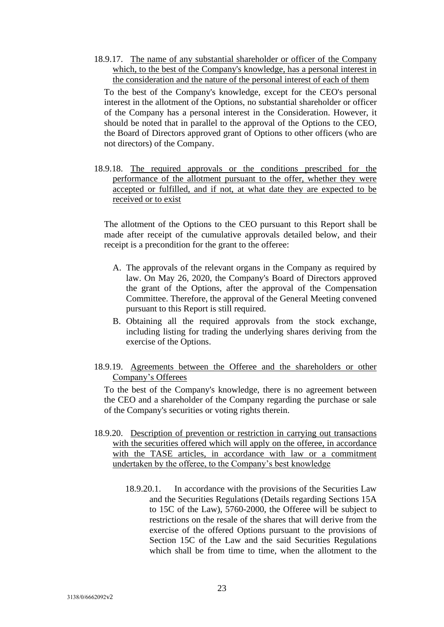18.9.17. The name of any substantial shareholder or officer of the Company which, to the best of the Company's knowledge, has a personal interest in the consideration and the nature of the personal interest of each of them

To the best of the Company's knowledge, except for the CEO's personal interest in the allotment of the Options, no substantial shareholder or officer of the Company has a personal interest in the Consideration. However, it should be noted that in parallel to the approval of the Options to the CEO, the Board of Directors approved grant of Options to other officers (who are not directors) of the Company.

18.9.18. The required approvals or the conditions prescribed for the performance of the allotment pursuant to the offer, whether they were accepted or fulfilled, and if not, at what date they are expected to be received or to exist

The allotment of the Options to the CEO pursuant to this Report shall be made after receipt of the cumulative approvals detailed below, and their receipt is a precondition for the grant to the offeree:

- A. The approvals of the relevant organs in the Company as required by law. On May 26, 2020, the Company's Board of Directors approved the grant of the Options, after the approval of the Compensation Committee. Therefore, the approval of the General Meeting convened pursuant to this Report is still required.
- B. Obtaining all the required approvals from the stock exchange, including listing for trading the underlying shares deriving from the exercise of the Options.
- 18.9.19. Agreements between the Offeree and the shareholders or other Company's Offerees

To the best of the Company's knowledge, there is no agreement between the CEO and a shareholder of the Company regarding the purchase or sale of the Company's securities or voting rights therein.

- 18.9.20. Description of prevention or restriction in carrying out transactions with the securities offered which will apply on the offeree, in accordance with the TASE articles, in accordance with law or a commitment undertaken by the offeree, to the Company's best knowledge
	- 18.9.20.1. In accordance with the provisions of the Securities Law and the Securities Regulations (Details regarding Sections 15A to 15C of the Law), 5760-2000, the Offeree will be subject to restrictions on the resale of the shares that will derive from the exercise of the offered Options pursuant to the provisions of Section 15C of the Law and the said Securities Regulations which shall be from time to time, when the allotment to the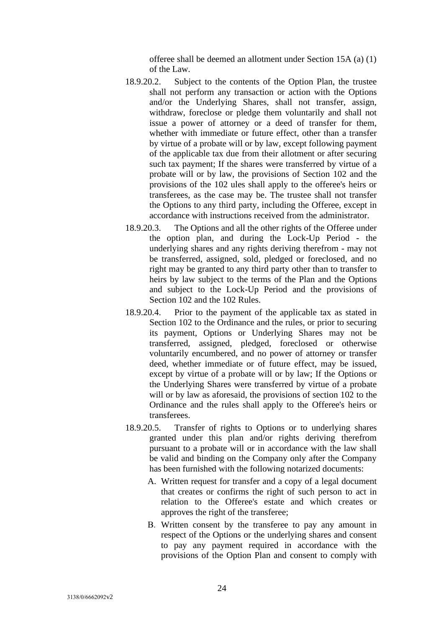offeree shall be deemed an allotment under Section 15A (a) (1) of the Law.

- 18.9.20.2. Subject to the contents of the Option Plan, the trustee shall not perform any transaction or action with the Options and/or the Underlying Shares, shall not transfer, assign, withdraw, foreclose or pledge them voluntarily and shall not issue a power of attorney or a deed of transfer for them, whether with immediate or future effect, other than a transfer by virtue of a probate will or by law, except following payment of the applicable tax due from their allotment or after securing such tax payment; If the shares were transferred by virtue of a probate will or by law, the provisions of Section 102 and the provisions of the 102 ules shall apply to the offeree's heirs or transferees, as the case may be. The trustee shall not transfer the Options to any third party, including the Offeree, except in accordance with instructions received from the administrator.
- 18.9.20.3. The Options and all the other rights of the Offeree under the option plan, and during the Lock-Up Period - the underlying shares and any rights deriving therefrom - may not be transferred, assigned, sold, pledged or foreclosed, and no right may be granted to any third party other than to transfer to heirs by law subject to the terms of the Plan and the Options and subject to the Lock-Up Period and the provisions of Section 102 and the 102 Rules.
- 18.9.20.4. Prior to the payment of the applicable tax as stated in Section 102 to the Ordinance and the rules, or prior to securing its payment, Options or Underlying Shares may not be transferred, assigned, pledged, foreclosed or otherwise voluntarily encumbered, and no power of attorney or transfer deed, whether immediate or of future effect, may be issued, except by virtue of a probate will or by law; If the Options or the Underlying Shares were transferred by virtue of a probate will or by law as aforesaid, the provisions of section 102 to the Ordinance and the rules shall apply to the Offeree's heirs or transferees.
- 18.9.20.5. Transfer of rights to Options or to underlying shares granted under this plan and/or rights deriving therefrom pursuant to a probate will or in accordance with the law shall be valid and binding on the Company only after the Company has been furnished with the following notarized documents:
	- A. Written request for transfer and a copy of a legal document that creates or confirms the right of such person to act in relation to the Offeree's estate and which creates or approves the right of the transferee;
	- B. Written consent by the transferee to pay any amount in respect of the Options or the underlying shares and consent to pay any payment required in accordance with the provisions of the Option Plan and consent to comply with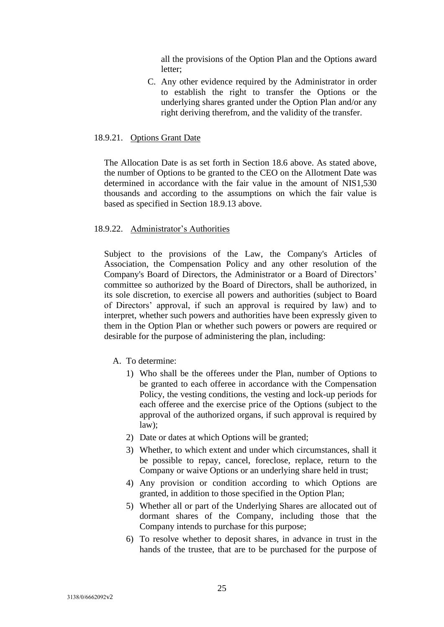all the provisions of the Option Plan and the Options award letter;

C. Any other evidence required by the Administrator in order to establish the right to transfer the Options or the underlying shares granted under the Option Plan and/or any right deriving therefrom, and the validity of the transfer.

#### 18.9.21. Options Grant Date

The Allocation Date is as set forth in Section 18.6 above. As stated above, the number of Options to be granted to the CEO on the Allotment Date was determined in accordance with the fair value in the amount of NIS1,530 thousands and according to the assumptions on which the fair value is based as specified in Section 18.9.13 above.

### 18.9.22. Administrator's Authorities

Subject to the provisions of the Law, the Company's Articles of Association, the Compensation Policy and any other resolution of the Company's Board of Directors, the Administrator or a Board of Directors' committee so authorized by the Board of Directors, shall be authorized, in its sole discretion, to exercise all powers and authorities (subject to Board of Directors' approval, if such an approval is required by law) and to interpret, whether such powers and authorities have been expressly given to them in the Option Plan or whether such powers or powers are required or desirable for the purpose of administering the plan, including:

- A. To determine:
	- 1) Who shall be the offerees under the Plan, number of Options to be granted to each offeree in accordance with the Compensation Policy, the vesting conditions, the vesting and lock-up periods for each offeree and the exercise price of the Options (subject to the approval of the authorized organs, if such approval is required by law);
	- 2) Date or dates at which Options will be granted;
	- 3) Whether, to which extent and under which circumstances, shall it be possible to repay, cancel, foreclose, replace, return to the Company or waive Options or an underlying share held in trust;
	- 4) Any provision or condition according to which Options are granted, in addition to those specified in the Option Plan;
	- 5) Whether all or part of the Underlying Shares are allocated out of dormant shares of the Company, including those that the Company intends to purchase for this purpose;
	- 6) To resolve whether to deposit shares, in advance in trust in the hands of the trustee, that are to be purchased for the purpose of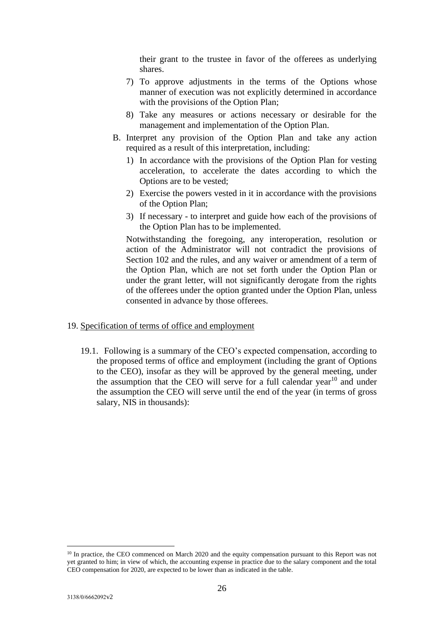their grant to the trustee in favor of the offerees as underlying shares.

- 7) To approve adjustments in the terms of the Options whose manner of execution was not explicitly determined in accordance with the provisions of the Option Plan;
- 8) Take any measures or actions necessary or desirable for the management and implementation of the Option Plan.
- B. Interpret any provision of the Option Plan and take any action required as a result of this interpretation, including:
	- 1) In accordance with the provisions of the Option Plan for vesting acceleration, to accelerate the dates according to which the Options are to be vested;
	- 2) Exercise the powers vested in it in accordance with the provisions of the Option Plan;
	- 3) If necessary to interpret and guide how each of the provisions of the Option Plan has to be implemented.

Notwithstanding the foregoing, any interoperation, resolution or action of the Administrator will not contradict the provisions of Section 102 and the rules, and any waiver or amendment of a term of the Option Plan, which are not set forth under the Option Plan or under the grant letter, will not significantly derogate from the rights of the offerees under the option granted under the Option Plan, unless consented in advance by those offerees.

### 19. Specification of terms of office and employment

19.1. Following is a summary of the CEO's expected compensation, according to the proposed terms of office and employment (including the grant of Options to the CEO), insofar as they will be approved by the general meeting, under the assumption that the CEO will serve for a full calendar year<sup>10</sup> and under the assumption the CEO will serve until the end of the year (in terms of gross salary, NIS in thousands):

<sup>&</sup>lt;sup>10</sup> In practice, the CEO commenced on March 2020 and the equity compensation pursuant to this Report was not yet granted to him; in view of which, the accounting expense in practice due to the salary component and the total CEO compensation for 2020, are expected to be lower than as indicated in the table.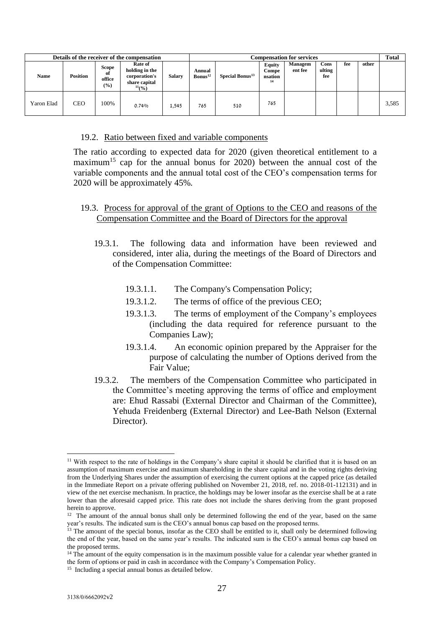| Details of the receiver of the compensation |                 |                                     |                                                                            |               | <b>Compensation for services</b> |                             |                                         |                    |                       |     | <b>Total</b> |       |
|---------------------------------------------|-----------------|-------------------------------------|----------------------------------------------------------------------------|---------------|----------------------------------|-----------------------------|-----------------------------------------|--------------------|-----------------------|-----|--------------|-------|
| <b>Name</b>                                 | <b>Position</b> | <b>Scope</b><br>of<br>office<br>(%) | Rate of<br>holding in the<br>corporation's<br>share capital<br>$^{11}($ %) | <b>Salarv</b> | Annual<br>Bonus <sup>12</sup>    | Special Bonus <sup>13</sup> | <b>Equity</b><br>Compe<br>nsation<br>14 | Managem<br>ent fee | Cons<br>ulting<br>fee | fee | other        |       |
| Yaron Elad                                  | CEO             | 100%                                | 0.74%                                                                      | 1,545         | 765                              | 510                         | 765                                     |                    |                       |     |              | 3,585 |

#### 19.2. Ratio between fixed and variable components

The ratio according to expected data for 2020 (given theoretical entitlement to a maximum<sup>15</sup> cap for the annual bonus for 2020) between the annual cost of the variable components and the annual total cost of the CEO's compensation terms for 2020 will be approximately 45%*.*

# 19.3. Process for approval of the grant of Options to the CEO and reasons of the Compensation Committee and the Board of Directors for the approval

- 19.3.1. The following data and information have been reviewed and considered, inter alia, during the meetings of the Board of Directors and of the Compensation Committee:
	- 19.3.1.1. The Company's Compensation Policy;
	- 19.3.1.2. The terms of office of the previous CEO;
	- 19.3.1.3. The terms of employment of the Company's employees (including the data required for reference pursuant to the Companies Law);
	- 19.3.1.4. An economic opinion prepared by the Appraiser for the purpose of calculating the number of Options derived from the Fair Value;
- 19.3.2. The members of the Compensation Committee who participated in the Committee's meeting approving the terms of office and employment are: Ehud Rassabi (External Director and Chairman of the Committee), Yehuda Freidenberg (External Director) and Lee-Bath Nelson (External Director).

<sup>&</sup>lt;sup>11</sup> With respect to the rate of holdings in the Company's share capital it should be clarified that it is based on an assumption of maximum exercise and maximum shareholding in the share capital and in the voting rights deriving from the Underlying Shares under the assumption of exercising the current options at the capped price (as detailed in the Immediate Report on a private offering published on November 21, 2018, ref. no. 2018-01-112131) and in view of the net exercise mechanism. In practice, the holdings may be lower insofar as the exercise shall be at a rate lower than the aforesaid capped price. This rate does not include the shares deriving from the grant proposed herein to approve.

<sup>&</sup>lt;sup>12</sup> The amount of the annual bonus shall only be determined following the end of the year, based on the same year's results. The indicated sum is the CEO's annual bonus cap based on the proposed terms.

 $13$  The amount of the special bonus, insofar as the CEO shall be entitled to it, shall only be determined following the end of the year, based on the same year's results. The indicated sum is the CEO's annual bonus cap based on the proposed terms.

 $14$  The amount of the equity compensation is in the maximum possible value for a calendar year whether granted in the form of options or paid in cash in accordance with the Company's Compensation Policy.

<sup>15</sup> Including a special annual bonus as detailed below.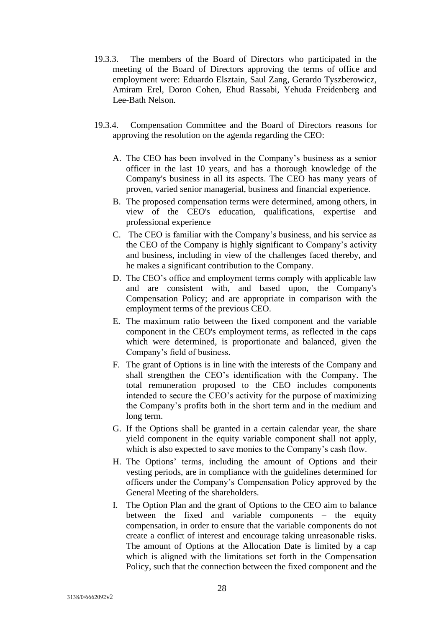- 19.3.3. The members of the Board of Directors who participated in the meeting of the Board of Directors approving the terms of office and employment were: Eduardo Elsztain, Saul Zang, Gerardo Tyszberowicz, Amiram Erel, Doron Cohen, Ehud Rassabi, Yehuda Freidenberg and Lee-Bath Nelson.
- 19.3.4. Compensation Committee and the Board of Directors reasons for approving the resolution on the agenda regarding the CEO:
	- A. The CEO has been involved in the Company's business as a senior officer in the last 10 years, and has a thorough knowledge of the Company's business in all its aspects. The CEO has many years of proven, varied senior managerial, business and financial experience.
	- B. The proposed compensation terms were determined, among others, in view of the CEO's education, qualifications, expertise and professional experience
	- C. The CEO is familiar with the Company's business, and his service as the CEO of the Company is highly significant to Company's activity and business, including in view of the challenges faced thereby, and he makes a significant contribution to the Company.
	- D. The CEO's office and employment terms comply with applicable law and are consistent with, and based upon, the Company's Compensation Policy; and are appropriate in comparison with the employment terms of the previous CEO.
	- E. The maximum ratio between the fixed component and the variable component in the CEO's employment terms, as reflected in the caps which were determined, is proportionate and balanced, given the Company's field of business.
	- F. The grant of Options is in line with the interests of the Company and shall strengthen the CEO's identification with the Company. The total remuneration proposed to the CEO includes components intended to secure the CEO's activity for the purpose of maximizing the Company's profits both in the short term and in the medium and long term.
	- G. If the Options shall be granted in a certain calendar year, the share yield component in the equity variable component shall not apply, which is also expected to save monies to the Company's cash flow.
	- H. The Options' terms, including the amount of Options and their vesting periods, are in compliance with the guidelines determined for officers under the Company's Compensation Policy approved by the General Meeting of the shareholders.
	- I. The Option Plan and the grant of Options to the CEO aim to balance between the fixed and variable components – the equity compensation, in order to ensure that the variable components do not create a conflict of interest and encourage taking unreasonable risks. The amount of Options at the Allocation Date is limited by a cap which is aligned with the limitations set forth in the Compensation Policy, such that the connection between the fixed component and the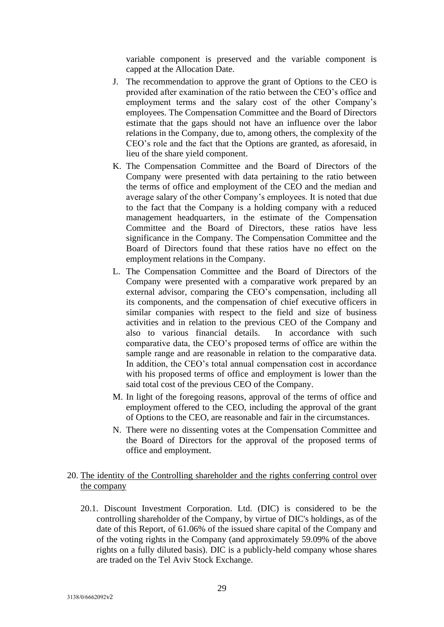variable component is preserved and the variable component is capped at the Allocation Date.

- J. The recommendation to approve the grant of Options to the CEO is provided after examination of the ratio between the CEO's office and employment terms and the salary cost of the other Company's employees. The Compensation Committee and the Board of Directors estimate that the gaps should not have an influence over the labor relations in the Company, due to, among others, the complexity of the CEO's role and the fact that the Options are granted, as aforesaid, in lieu of the share yield component.
- K. The Compensation Committee and the Board of Directors of the Company were presented with data pertaining to the ratio between the terms of office and employment of the CEO and the median and average salary of the other Company's employees. It is noted that due to the fact that the Company is a holding company with a reduced management headquarters, in the estimate of the Compensation Committee and the Board of Directors, these ratios have less significance in the Company. The Compensation Committee and the Board of Directors found that these ratios have no effect on the employment relations in the Company.
- L. The Compensation Committee and the Board of Directors of the Company were presented with a comparative work prepared by an external advisor, comparing the CEO's compensation, including all its components, and the compensation of chief executive officers in similar companies with respect to the field and size of business activities and in relation to the previous CEO of the Company and also to various financial details. In accordance with such comparative data, the CEO's proposed terms of office are within the sample range and are reasonable in relation to the comparative data. In addition, the CEO's total annual compensation cost in accordance with his proposed terms of office and employment is lower than the said total cost of the previous CEO of the Company.
- M. In light of the foregoing reasons, approval of the terms of office and employment offered to the CEO, including the approval of the grant of Options to the CEO, are reasonable and fair in the circumstances.
- N. There were no dissenting votes at the Compensation Committee and the Board of Directors for the approval of the proposed terms of office and employment.

# 20. The identity of the Controlling shareholder and the rights conferring control over the company

20.1. Discount Investment Corporation. Ltd. (DIC) is considered to be the controlling shareholder of the Company, by virtue of DIC's holdings, as of the date of this Report, of 61.06% of the issued share capital of the Company and of the voting rights in the Company (and approximately 59.09% of the above rights on a fully diluted basis). DIC is a publicly-held company whose shares are traded on the Tel Aviv Stock Exchange.